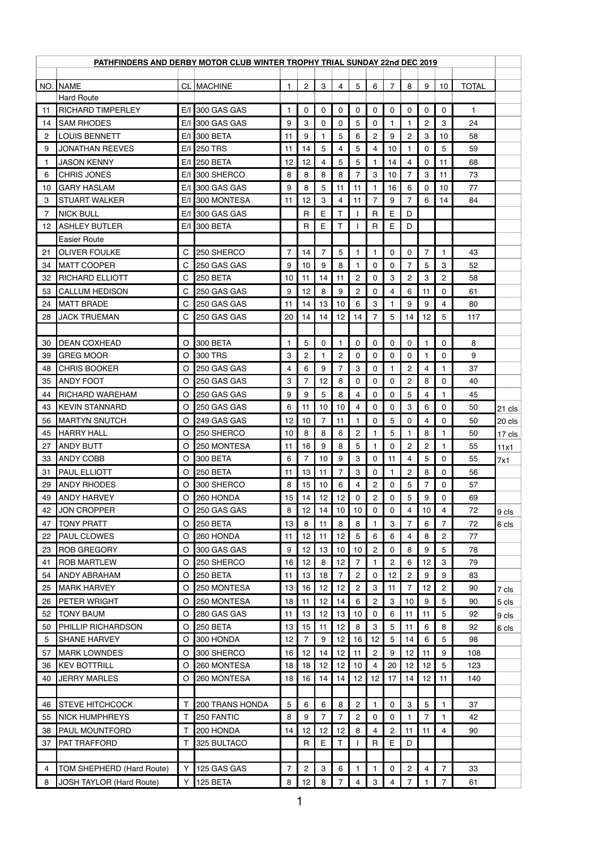| PATHFINDERS AND DERBY MOTOR CLUB WINTER TROPHY TRIAL SUNDAY 22nd DEC 2019 |                           |              |                        |                 |                |                |                 |                |                |                |                |                 |                |              |        |
|---------------------------------------------------------------------------|---------------------------|--------------|------------------------|-----------------|----------------|----------------|-----------------|----------------|----------------|----------------|----------------|-----------------|----------------|--------------|--------|
|                                                                           |                           |              |                        |                 |                |                |                 |                |                |                |                |                 |                |              |        |
|                                                                           | NO. NAME                  |              | CL MACHINE             | $\mathbf{1}$    | $\overline{2}$ | 3              | $\overline{4}$  | 5              | 6              | $\overline{7}$ | 8              | 9               | 10             | <b>TOTAL</b> |        |
|                                                                           | <b>Hard Route</b>         |              |                        |                 |                |                |                 |                |                |                |                |                 |                |              |        |
| 11                                                                        | <b>RICHARD TIMPERLEY</b>  |              | E/I 300 GAS GAS        | $\mathbf{1}$    | 0              | $\mathbf 0$    | 0               | 0              | 0              | 0              | 0              | 0               | 0              | $\mathbf{1}$ |        |
| 14                                                                        | <b>SAM RHODES</b>         |              | $E/I$ 300 GAS GAS      | 9               | 3              | 0              | 0               | 5              | 0              | 1.             | 1              | $\overline{c}$  | 3              | 24           |        |
| 2                                                                         | <b>LOUIS BENNETT</b>      |              | E/I 300 BETA           | 11              | 9              |                | 5               | 6              | 2              | 9              | $\overline{c}$ | 3               | 10             | 58           |        |
| 9                                                                         | <b>JONATHAN REEVES</b>    |              | E/I 250 TRS            | 11              | 14             | 5              | 4               | 5              | 4              | 10             |                | 0               | 5              | 59           |        |
| 1                                                                         | <b>JASON KENNY</b>        | E/I          | <b>250 BETA</b>        | 12              | 12             | 4              | 5               | 5              | 1              | 14             | 4              | 0               | 11             | 68           |        |
| 6                                                                         | <b>CHRIS JONES</b>        |              | E/I 300 SHERCO         | 8               | 8              | 8              | 8               | 7              | 3              | 10             | 7              | 3               | 11             | 73           |        |
| 10                                                                        | <b>GARY HASLAM</b>        | E/I          | 300 GAS GAS            | 9               | 8              | 5              | 11              | 11             | 1.             | 16             | 6              | 0               | 10             | 77           |        |
| 3                                                                         | <b>STUART WALKER</b>      |              | E/I 300 MONTESA        | 11              | 12             | 3              | 4               | 11             | 7              | 9              | $\overline{7}$ | 6               | 14             | 84           |        |
| 7                                                                         | <b>NICK BULL</b>          | E/I          | 300 GAS GAS            |                 | $\mathsf{R}$   | E              | T               |                | $\mathsf{R}$   | E              | D              |                 |                |              |        |
|                                                                           | 12 ASHLEY BUTLER          |              | E/I 300 BETA           |                 | $\mathsf{R}$   | E              | Т               |                | $\mathsf{R}$   | E              | D              |                 |                |              |        |
|                                                                           | <b>Easier Route</b>       |              |                        |                 |                |                |                 |                |                |                |                |                 |                |              |        |
| 21                                                                        | <b>OLIVER FOULKE</b>      | $\mathsf{C}$ | 250 SHERCO             | 7               | 14             | 7              | 5               | 1              | 1              | 0              | $\mathbf 0$    | $\overline{7}$  | 1              | 43           |        |
| 34                                                                        | <b>MATT COOPER</b>        | C            | 250 GAS GAS            | 9               | 10             | 9              | 8               |                | 0              | 0              | $\overline{7}$ | 5               | 3              | 52           |        |
| 32                                                                        | <b>RICHARD ELLIOTT</b>    | $\mathsf{C}$ | <b>250 BETA</b>        | 10 <sub>1</sub> | 11             | 14             | 11              | $\overline{c}$ | 0              | 3              | $\overline{c}$ | 3               | $\overline{c}$ | 58           |        |
| 53                                                                        | <b>CALLUM HEDISON</b>     | С            | 250 GAS GAS            | 9               | 12             | 8              | 9               | $\overline{c}$ | 0              | 4              | 6              | 11              | 0              | 61           |        |
| 24                                                                        | <b>IMATT BRADE</b>        | $\mathsf{C}$ | 250 GAS GAS            | 11              | 14             | 13             | 10              | 6              | 3              | 1              | 9              | 9               | 4              | 80           |        |
| 28                                                                        | <b>JACK TRUEMAN</b>       | C            | 250 GAS GAS            | 20              | 14             | 14             | 12              | 14             | 7              | 5              | 14             | 12              | 5              | 117          |        |
|                                                                           |                           |              |                        |                 |                |                |                 |                |                |                |                |                 |                |              |        |
| 30                                                                        | <b>DEAN COXHEAD</b>       | O            | 300 BETA               | 1               | 5              | 0              | 1.              | 0              | 0              | 0              | 0              | 1               | 0              | 8            |        |
| 39                                                                        | <b>GREG MOOR</b>          | O            | 300 TRS                | 3               | $\overline{c}$ | 1              | $\overline{c}$  | 0              | 0              | 0              | 0              | 1               | $\mathbf 0$    | 9            |        |
| 48                                                                        | <b>CHRIS BOOKER</b>       | O            | 250 GAS GAS            | 4               | 6              | 9              | $\overline{7}$  | 3              | 0              | 1              | $\overline{2}$ | 4               |                | 37           |        |
| 35                                                                        | <b>ANDY FOOT</b>          | O            | 250 GAS GAS            | 3               | $\overline{7}$ | 12             | 8               | 0              | 0              | 0              | $\overline{c}$ | 8               | 0              | 40           |        |
| 44                                                                        | <b>RICHARD WAREHAM</b>    | O            | 250 GAS GAS            | 9               | 9              | 5              | 8               | 4              | 0              | 0              | 5              | 4               |                | 45           |        |
|                                                                           | 43 KEVIN STANNARD         |              | O 250 GAS GAS          | 6               | 11             | 10             | 10 <sup>1</sup> | 4 <sup>1</sup> | $\mathbf 0$    | $\pmb{0}$      | $\,$ 3 $\,$    | $6\overline{6}$ | $\mathbf 0$    | 50           | 21 cls |
| 56                                                                        | <b>MARTYN SNUTCH</b>      | O            | 249 GAS GAS            | 12 <sup>°</sup> | 10             | $\overline{7}$ | 11              |                | 0              | 5              | 0              | 4               | 0              | 50           | 20 cls |
| 45                                                                        | <b>HARRY HALL</b>         | O            | 250 SHERCO             | 10              | 8              | 8              | 6               | $\overline{2}$ | 1              | 5              | 1              | 8               | $\mathbf{1}$   | 50           | 17 cls |
| 27                                                                        | <b>ANDY BUTT</b>          | O            | 250 MONTESA            | 11              | 16             | 9              | 8               | 5              |                | 0              | $\overline{c}$ | $\overline{c}$  |                | 55           | 11x1   |
| 33                                                                        | <b>ANDY COBB</b>          | O            | 300 BETA               | 6               | $\overline{7}$ | 10             | 9               | 3              | 0              | 11             | 4              | 5               | $\mathbf 0$    | 55           | 7x1    |
| 31                                                                        | <b>PAUL ELLIOTT</b>       | O            | <b>250 BETA</b>        | 11              | 13             | 11             | $\overline{7}$  | 3              | 0              | 1              | $\overline{2}$ | 8               | 0              | 56           |        |
| 29                                                                        | <b>ANDY RHODES</b>        | O            | 300 SHERCO             | 8               | 15             | 10             | 6               | 4              | 2              | 0              | 5              | 7               | $\mathbf 0$    | 57           |        |
| 49                                                                        | <b>ANDY HARVEY</b>        | O            | 260 HONDA              | 15              | 14             | 12             | 12              | $\Omega$       | $\overline{c}$ | 0              | 5              | 9               | $\mathbf{0}$   | 69           |        |
| 42                                                                        | <b>JON CROPPER</b>        | O            | 250 GAS GAS            | 8               | 12             | 14             | 10              | 10             | 0              | 0              | 4              | 10              | $\overline{4}$ | 72           | 9 cls  |
| 47                                                                        | <b>TONY PRATT</b>         | O            | <b>250 BETA</b>        | 13              | 8              | 11             | 8               | 8              | 1              | 3              | $\overline{7}$ | 6               | $\overline{7}$ | 72           | 6 cls  |
| 22                                                                        | <b>PAUL CLOWES</b>        | O            | 260 HONDA              | 11              | 12             | 11             | 12              | 5              | 6              | 6              | 4              | 8               | $\overline{c}$ | 77           |        |
| 23                                                                        | <b>ROB GREGORY</b>        | O            | 300 GAS GAS            | 9               | 12             | 13             | 10              | 10             | $\overline{c}$ | 0              | 8              | 9               | 5              | 78           |        |
| 41                                                                        | <b>ROB MARTLEW</b>        | O            | 250 SHERCO             | 16              | 12             | 8              | 12              | 7              | 1              | $\overline{c}$ | 6              | 12              | 3              | 79           |        |
| 54                                                                        | <b>ANDY ABRAHAM</b>       | O            | <b>250 BETA</b>        | 11              | 13             | 18             | $\overline{7}$  | $\overline{2}$ | 0              | 12             | $\overline{c}$ | 9               | 9              | 83           |        |
| 25                                                                        | <b>MARK HARVEY</b>        | O            | 250 MONTESA            | 13              | 16             | 12             | 12              | $\overline{c}$ | 3              | 11             | 7              | 12              | $\overline{c}$ | 90           | 7 cls  |
| 26                                                                        | PETER WRIGHT              | O            | 250 MONTESA            | 18              | 11             | 12             | 14              | 6              | 2              | 3              | 10             | 9               | 5              | 90           | 5 cls  |
| 52                                                                        | <b>TONY BAUM</b>          | O            | 280 GAS GAS            | 11              | 13             | 12             | 13              | 10             | 0              | 6              | 11             | 11              | 5              | 92           | 9 cls  |
| 50                                                                        | PHILLIP RICHARDSON        | O            | <b>250 BETA</b>        | 13              | 15             | 11             | 12              | 8              | 3              | 5              | 11             | 6               | 8              | 92           | 6 cls  |
| 5                                                                         | <b>SHANE HARVEY</b>       | O            | 300 HONDA              | 12              | $\overline{7}$ | 9              | 12              | 16             | 12             | 5              | 14             | 6               | 5              | 98           |        |
| 57                                                                        | <b>MARK LOWNDES</b>       | O            | 300 SHERCO             | 16              | 12             | 14             | 12              | 11             | $\overline{c}$ | 9              | 12             | 11              | 9              | 108          |        |
| 36                                                                        | <b>KEV BOTTRILL</b>       | O            | 260 MONTESA            | 18              | 18             | 12             | 12              | 10             | 4              | 20             | 12             | 12              | 5              | 123          |        |
| 40                                                                        | <b>JERRY MARLES</b>       | O            | 260 MONTESA            | 18              | 16             | 14             | 14              | 12             | 12             | 17             | 14             | 12              | 11             | 140          |        |
|                                                                           |                           |              |                        |                 |                |                |                 |                |                |                |                |                 |                |              |        |
| 46                                                                        | <b>STEVE HITCHCOCK</b>    | т            | <b>200 TRANS HONDA</b> | 5               | 6              | $\,6$          | 8               | $\mathbf{2}$   | 1              | 0              | 3              | 5               | 1              | 37           |        |
| 55                                                                        | <b>NICK HUMPHREYS</b>     | Τ            | 250 FANTIC             | 8               | 9              | 7              | $\overline{7}$  | $\overline{c}$ | 0              | 0              | 1              | $\overline{7}$  | 1              | 42           |        |
| 38                                                                        | <b>PAUL MOUNTFORD</b>     | Т            | 200 HONDA              | 14              | 12             | 12             | 12              | 8              | 4              | $\overline{c}$ | 11             | 11              | 4              | 90           |        |
| 37                                                                        | PAT TRAFFORD              | т            | 325 BULTACO            |                 | $\mathsf{R}$   | Е              | Τ               |                | $\mathsf{R}$   | E              | D              |                 |                |              |        |
|                                                                           |                           |              |                        |                 |                |                |                 |                |                |                |                |                 |                |              |        |
| 4                                                                         | TOM SHEPHERD (Hard Route) | Y            | 125 GAS GAS            | $\overline{7}$  | $\overline{c}$ | $\mathbf{3}$   | 6               | 1              | 1              | 0              | $\mathbf{2}$   | 4               | $\overline{7}$ | 33           |        |
| 8                                                                         | JOSH TAYLOR (Hard Route)  | Y            | 125 BETA               | 8               | 12             | 8              | 7               | 4              | 3              | 4              | $\overline{7}$ | 1               | $\overline{7}$ | 61           |        |
|                                                                           |                           |              |                        |                 |                |                |                 |                |                |                |                |                 |                |              |        |